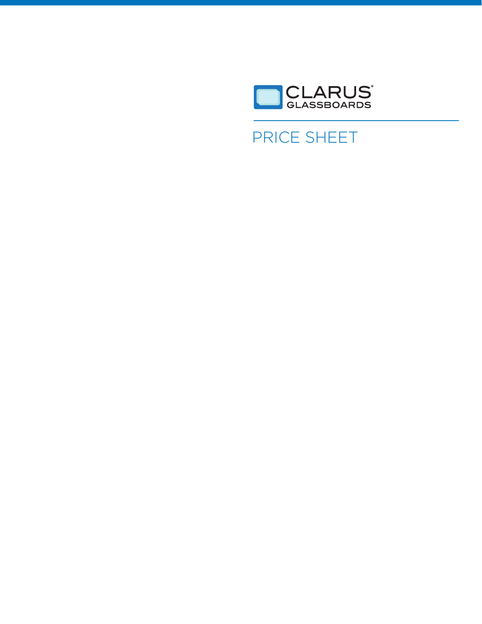

# PRICE SHEET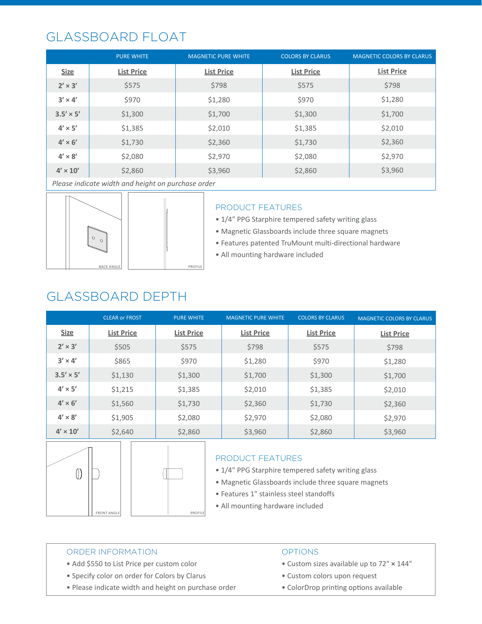## GLASSBOARD FLOAT

|                  | <b>PURE WHITE</b> | <b>MAGNETIC PURE WHITE</b> | <b>COLORS BY CLARUS</b> | <b>MAGNETIC COLORS BY CLARUS</b> |
|------------------|-------------------|----------------------------|-------------------------|----------------------------------|
| <b>Size</b>      | <b>List Price</b> | <b>List Price</b>          | <b>List Price</b>       | <b>List Price</b>                |
| $2' \times 3'$   | \$575             | \$798                      | \$575                   | \$798                            |
| $3' \times 4'$   | \$970             | \$1,280                    | \$970                   | \$1,280                          |
| $3.5' \times 5'$ | \$1,300           | \$1,700                    | \$1,300                 | \$1,700                          |
| $4' \times 5'$   | \$1,385           | \$2,010                    | \$1,385                 | \$2,010                          |
| $4' \times 6'$   | \$1,730           | \$2,360                    | \$1,730                 | \$2,360                          |
| $4' \times 8'$   | \$2,080           | \$2,970                    | \$2,080                 | \$2,970                          |
| $4' \times 10'$  | \$2,860           | \$3,960                    | \$2,860                 | \$3,960                          |

*Please indicate width and height on purchase order*



### PRODUCT FEATURES

• 1/4″ PPG Starphire tempered safety writing glass

- Magnetic Glassboards include three square magnets
- Features patented TruMount multi-directional hardware
- All mounting hardware included

## GLASSBOARD DEPTH

|                  | <b>CLEAR or FROST</b> | <b>PURE WHITE</b> | <b>MAGNETIC PURE WHITE</b> | <b>COLORS BY CLARUS</b> | <b>MAGNETIC COLORS BY CLARUS</b> |
|------------------|-----------------------|-------------------|----------------------------|-------------------------|----------------------------------|
| <b>Size</b>      | <b>List Price</b>     | <b>List Price</b> | <b>List Price</b>          | <b>List Price</b>       | <b>List Price</b>                |
| $2' \times 3'$   | \$505                 | \$575             | \$798                      | \$575                   | \$798                            |
| $3' \times 4'$   | \$865                 | \$970             | \$1,280                    | \$970                   | \$1,280                          |
| $3.5' \times 5'$ | \$1,130               | \$1,300           | \$1,700                    | \$1,300                 | \$1,700                          |
| $4' \times 5'$   | \$1,215               | \$1,385           | \$2,010                    | \$1,385                 | \$2,010                          |
| $4' \times 6'$   | \$1,560               | \$1,730           | \$2,360                    | \$1,730                 | \$2,360                          |
| $4' \times 8'$   | \$1,905               | \$2,080           | \$2,970                    | \$2,080                 | \$2,970                          |
| $4' \times 10'$  | \$2,640               | \$2,860           | \$3,960                    | \$2,860                 | \$3,960                          |





PROFILE

### PRODUCT FEATURES

• 1/4" PPG Starphire tempered safety writing glass

- Magnetic Glassboards include three square magnets
- Features 1" stainless steel standoffs
- All mounting hardware included

### ORDER INFORMATION

- Add \$550 to List Price per custom color
- Specify color on order for Colors by Clarus
- Please indicate width and height on purchase order

### **OPTIONS**

- Custom sizes available up to 72" **×** 144"
- Custom colors upon request
- ColorDrop printing options available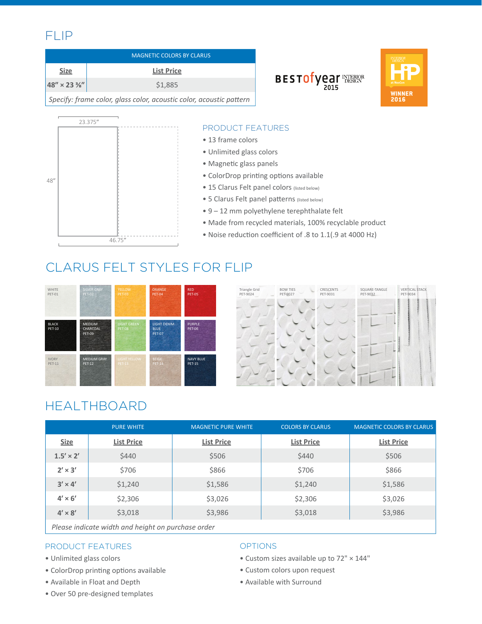## FLIP

|                                                                     | <b>MAGNETIC COLORS BY CLARUS</b> |  |
|---------------------------------------------------------------------|----------------------------------|--|
| <b>Size</b>                                                         | <b>List Price</b>                |  |
| $ 48'' \times 23\frac{3}{8}'' $                                     | \$1.885                          |  |
| Specify: frame color, glass color, acoustic color, acoustic pattern |                                  |  |



### PRODUCT FEATURES

- 13 frame colors
- Unlimited glass colors
- Magnetic glass panels
- ColorDrop printing options available
- 15 Clarus Felt panel colors (listed below)
- 5 Clarus Felt panel patterns (listed below)
- 9 12 mm polyethylene terephthalate felt
- Made from recycled materials, 100% recyclable product

BESTOTY PAT THERE RE

• Noise reduction coefficient of .8 to 1.1(.9 at 4000 Hz)

## CLARUS FELT STYLES FOR FLIP





## HEALTHBOARD

|                  | <b>PURE WHITE</b> | <b>MAGNETIC PURE WHITE</b> | <b>COLORS BY CLARUS</b> | <b>MAGNETIC COLORS BY CLARUS</b> |
|------------------|-------------------|----------------------------|-------------------------|----------------------------------|
| <b>Size</b>      | <b>List Price</b> | <b>List Price</b>          | <b>List Price</b>       | <b>List Price</b>                |
| $1.5' \times 2'$ | \$440             | \$506                      | \$440                   | \$506                            |
| $2' \times 3'$   | \$706             | \$866                      | \$706                   | \$866                            |
| $3' \times 4'$   | \$1,240           | \$1,586                    | \$1,240                 | \$1,586                          |
| $4' \times 6'$   | \$2,306           | \$3,026                    | \$2,306                 | \$3,026                          |
| $4' \times 8'$   | \$3,018           | \$3,986                    | \$3,018                 | \$3,986                          |
|                  |                   |                            |                         |                                  |

*Please indicate width and height on purchase order*

### PRODUCT FEATURES

- Unlimited glass colors
- ColorDrop printing options available
- Available in Float and Depth
- Over 50 pre-designed templates

### OPTIONS

- Custom sizes available up to 72" × 144"
- Custom colors upon request
- Available with Surround

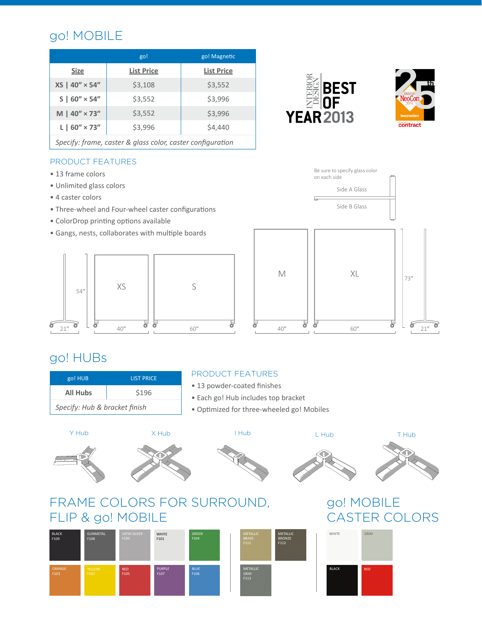## go! MOBILE

|                           | go!               | go! Magnetic      |
|---------------------------|-------------------|-------------------|
| <b>Size</b>               | <b>List Price</b> | <b>List Price</b> |
| XS   40" × 54"            | \$3,108           | \$3,552           |
| $S \mid 60'' \times 54''$ | \$3,552           | \$3,996           |
| $M   40'' \times 73''$    | \$3,552           | \$3,996           |
| $L$   60" $\times$ 73"    | \$3,996           | \$4,440           |
|                           |                   |                   |

*Specify: frame, caster & glass color, caster configuration*

### PRODUCT FEATURES

- 13 frame colors
- Unlimited glass colors
- 4 caster colors
- Three-wheel and Four-wheel caster configurations
- ColorDrop printing options available
- Gangs, nests, collaborates with multiple boards





**BEST** 

**NF** 

**YEAR 2013** 

## go! HUBs

| go! HUB                       | <b>LIST PRICE</b> |  |
|-------------------------------|-------------------|--|
| <b>All Hubs</b>               | \$196             |  |
| Specify: Hub & bracket finish |                   |  |

### PRODUCT FEATURES

- 13 powder-coated finishes
- Each go! Hub includes top bracket
- Optimized for three-wheeled go! Mobiles









## FRAME COLORS FOR SURROUND, FLIP & go! MOBILE



## go! MOBILE CASTER COLORS



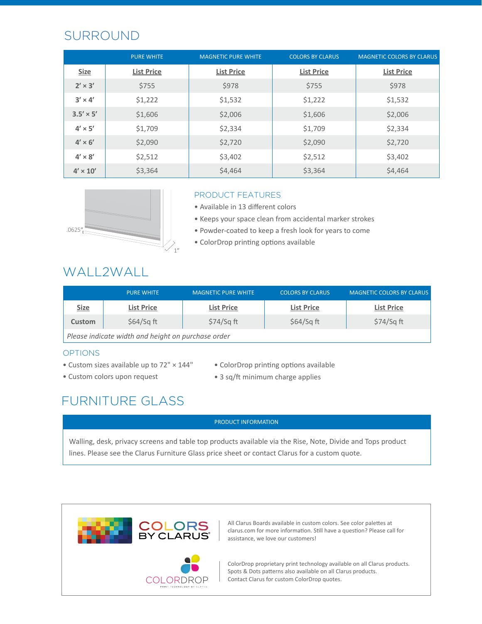## SURROUND

|                  | <b>PURE WHITE</b> | <b>MAGNETIC PURE WHITE</b> | <b>COLORS BY CLARUS</b> | <b>MAGNETIC COLORS BY CLARUS</b> |
|------------------|-------------------|----------------------------|-------------------------|----------------------------------|
| <b>Size</b>      | <b>List Price</b> | <b>List Price</b>          | <b>List Price</b>       | <b>List Price</b>                |
| $2' \times 3'$   | \$755             | \$978                      | \$755                   | \$978                            |
| $3' \times 4'$   | \$1,222           | \$1,532                    | \$1,222                 | \$1,532                          |
| $3.5' \times 5'$ | \$1,606           | \$2,006                    | \$1,606                 | \$2,006                          |
| $4' \times 5'$   | \$1,709           | \$2,334                    | \$1,709                 | \$2,334                          |
| $4' \times 6'$   | \$2,090           | \$2,720                    | \$2,090                 | \$2,720                          |
| $4' \times 8'$   | \$2,512           | \$3,402                    | \$2,512                 | \$3,402                          |
| $4' \times 10'$  | \$3,364           | \$4,464                    | \$3,364                 | \$4,464                          |



### PRODUCT FEATURES

- Available in 13 different colors
- Keeps your space clean from accidental marker strokes
- Powder-coated to keep a fresh look for years to come
- ColorDrop printing options available

### WALL2WALL

|                                                    | <b>PURE WHITE</b> | <b>MAGNETIC PURE WHITE</b> | <b>COLORS BY CLARUS</b> | <b>MAGNETIC COLORS BY CLARUS</b> |
|----------------------------------------------------|-------------------|----------------------------|-------------------------|----------------------------------|
| <b>Size</b>                                        | <b>List Price</b> | <b>List Price</b>          | <b>List Price</b>       | <b>List Price</b>                |
| Custom                                             | $$64/Sq$ ft       | $$74/Sq$ ft                | $$64/Sq$ ft             | $$74/Sq$ ft                      |
| Please indicate width and height on purchase order |                   |                            |                         |                                  |

### OPTIONS

- Custom sizes available up to 72" × 144"
- Custom colors upon request
- ColorDrop printing options available
- 3 sq/ft minimum charge applies

## FURNITURE GLASS

#### PRODUCT INFORMATION

Walling, desk, privacy screens and table top products available via the Rise, Note, Divide and Tops product lines. Please see the Clarus Furniture Glass price sheet or contact Clarus for a custom quote.



All Clarus Boards available in custom colors. See color palettes at clarus.com for more information. Still have a question? Please call for assistance, we love our customers!

ColorDrop proprietary print technology available on all Clarus products. Spots & Dots patterns also available on all Clarus products. COLORDROP | Contact Clarus for custom ColorDrop quotes.